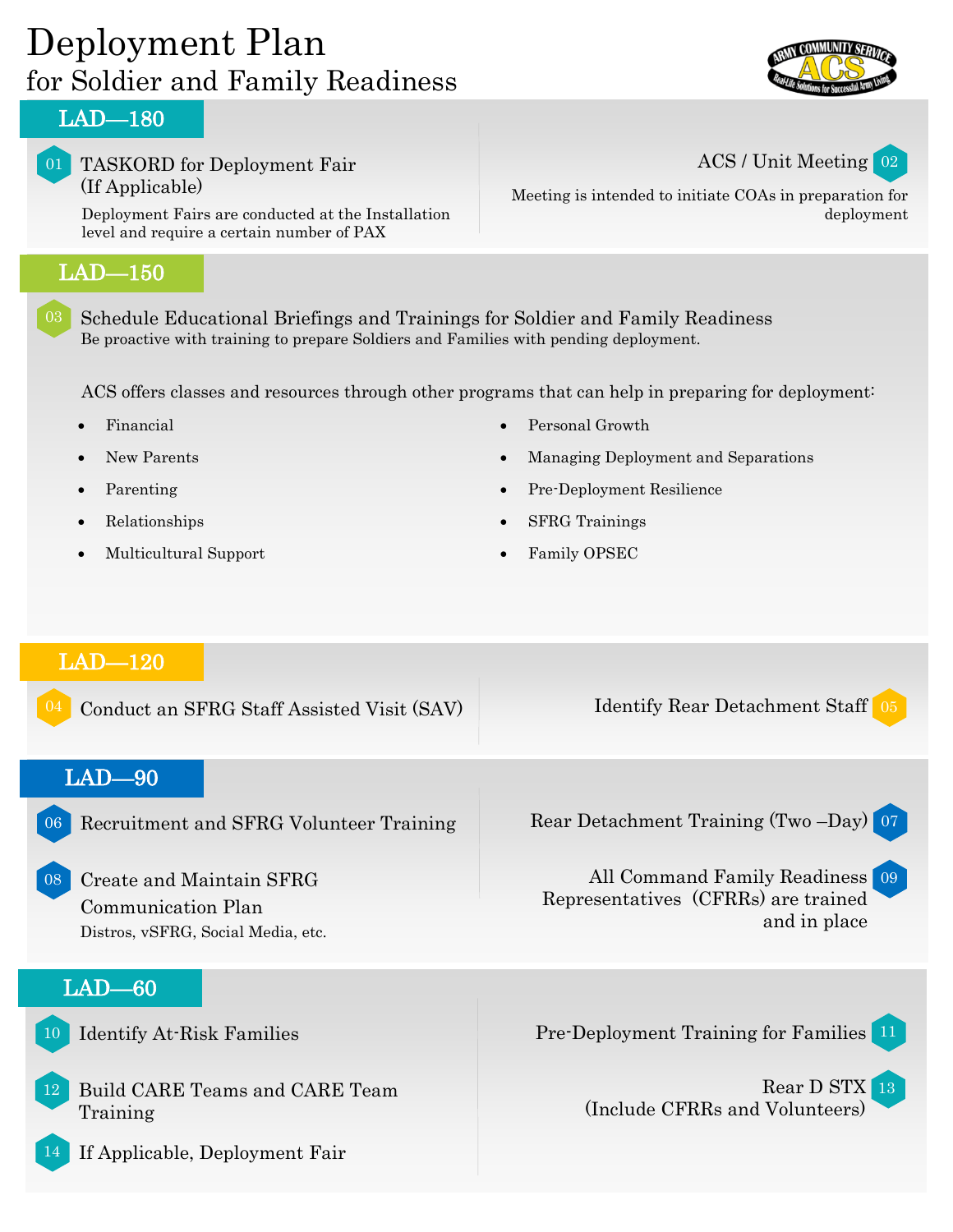# Deployment Plan for Soldier and Family Readiness



#### LAD—180

#### 01 TASKORD for Deployment Fair (If Applicable)

Deployment Fairs are conducted at the Installation level and require a certain number of PAX

### LAD—150

03 Schedule Educational Briefings and Trainings for Soldier and Family Readiness Be proactive with training to prepare Soldiers and Families with pending deployment.

ACS offers classes and resources through other programs that can help in preparing for deployment:

- Financial
- New Parents
- Parenting
- Relationships
- Multicultural Support
- Personal Growth
- Managing Deployment and Separations
- Pre-Deployment Resilience
- SFRG Trainings
- Family OPSEC

### LAD—120

Conduct an SFRG Staff Assisted Visit (SAV) Identify Rear Detachment Staff 05 LAD—90 Recruitment and SFRG Volunteer Training Rear Detachment Training (Two –Day) 07

Create and Maintain SFRG Communication Plan Distros, vSFRG, Social Media, etc.

### LAD—60

11 Identify At-Risk Families Pre-Deployment Training for Families

12 Build CARE Teams and CARE Team Training

14 If Applicable, Deployment Fair

Representatives (CFRRs) are trained



Rear D STX 13 (Include CFRRs and Volunteers)

All Command Family Readiness 09

and in place



ACS / Unit Meeting 02

Meeting is intended to initiate COAs in preparation for deployment